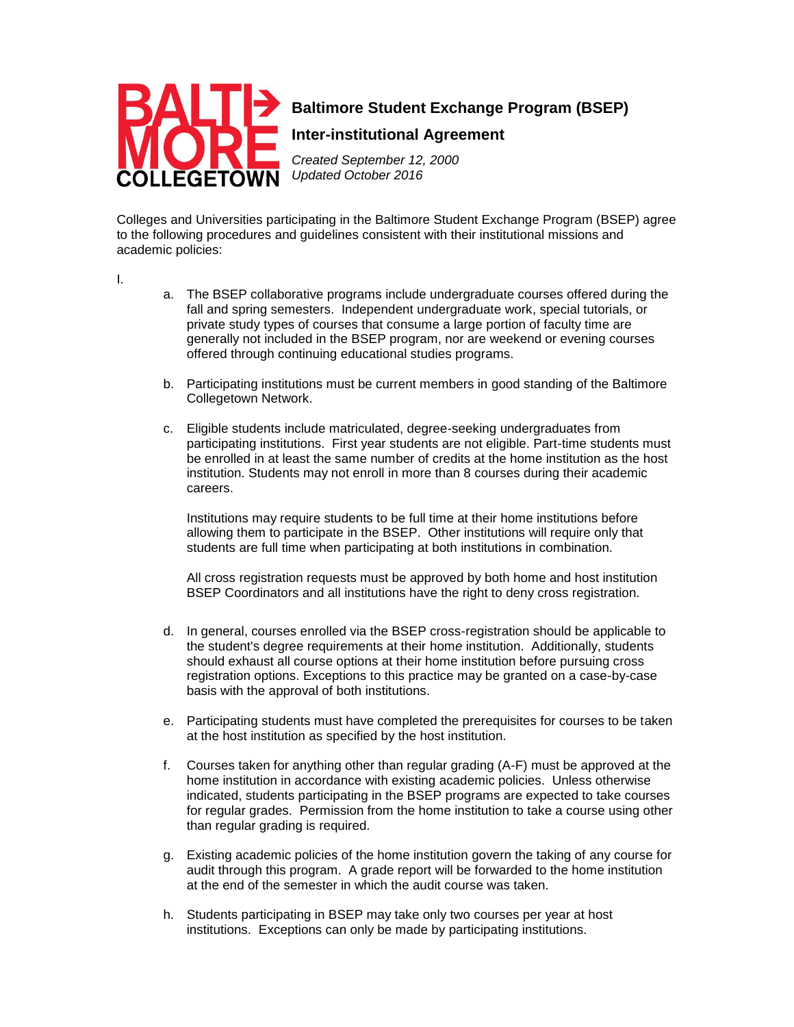

## **Baltimore Student Exchange Program (BSEP)**

## **Inter-institutional Agreement**

*Created September 12, 2000 Updated October 2016*

Colleges and Universities participating in the Baltimore Student Exchange Program (BSEP) agree to the following procedures and guidelines consistent with their institutional missions and academic policies:

I.

- a. The BSEP collaborative programs include undergraduate courses offered during the fall and spring semesters. Independent undergraduate work, special tutorials, or private study types of courses that consume a large portion of faculty time are generally not included in the BSEP program, nor are weekend or evening courses offered through continuing educational studies programs.
- b. Participating institutions must be current members in good standing of the Baltimore Collegetown Network.
- c. Eligible students include matriculated, degree-seeking undergraduates from participating institutions. First year students are not eligible. Part-time students must be enrolled in at least the same number of credits at the home institution as the host institution. Students may not enroll in more than 8 courses during their academic careers.

Institutions may require students to be full time at their home institutions before allowing them to participate in the BSEP. Other institutions will require only that students are full time when participating at both institutions in combination.

All cross registration requests must be approved by both home and host institution BSEP Coordinators and all institutions have the right to deny cross registration.

- d. In general, courses enrolled via the BSEP cross-registration should be applicable to the student's degree requirements at their hom*e* institution. Additionally, students should exhaust all course options at their home institution before pursuing cross registration options. Exceptions to this practice may be granted on a case-by-case basis with the approval of both institutions.
- e. Participating students must have completed the prerequisites for courses to be taken at the host institution as specified by the host institution.
- f. Courses taken for anything other than regular grading (A-F) must be approved at the home institution in accordance with existing academic policies. Unless otherwise indicated, students participating in the BSEP programs are expected to take courses for regular grades. Permission from the home institution to take a course using other than regular grading is required.
- g. Existing academic policies of the home institution govern the taking of any course for audit through this program. A grade report will be forwarded to the home institution at the end of the semester in which the audit course was taken.
- h. Students participating in BSEP may take only two courses per year at host institutions. Exceptions can only be made by participating institutions.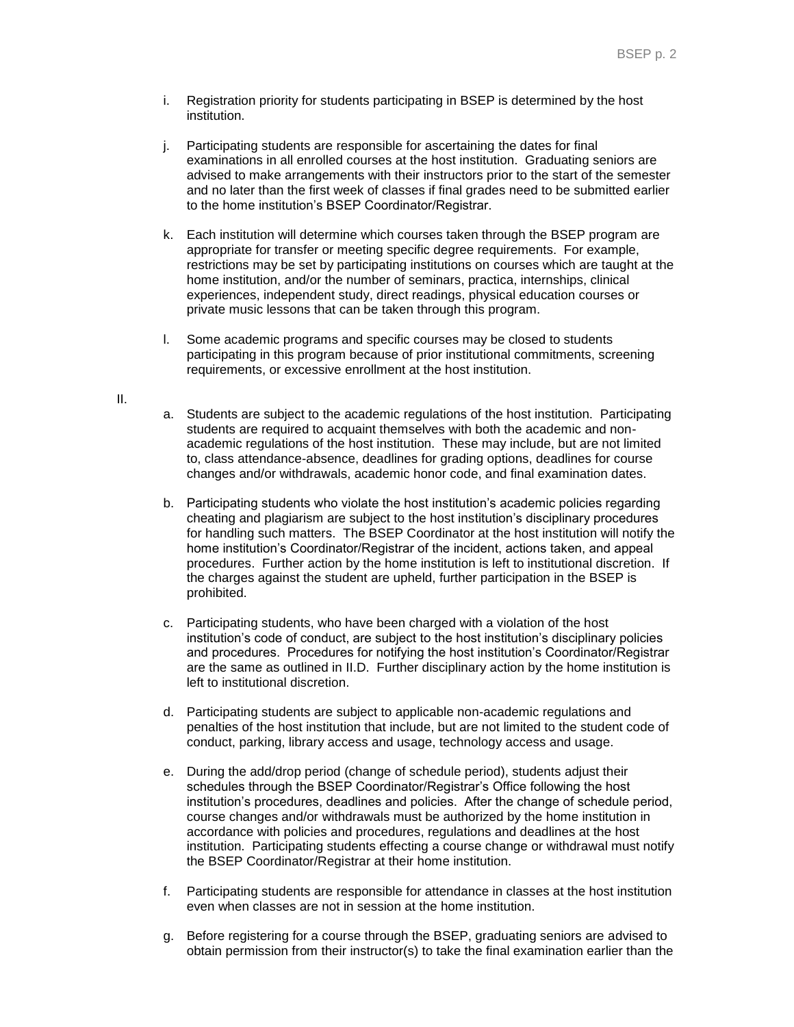- i. Registration priority for students participating in BSEP is determined by the host institution.
- j. Participating students are responsible for ascertaining the dates for final examinations in all enrolled courses at the host institution. Graduating seniors are advised to make arrangements with their instructors prior to the start of the semester and no later than the first week of classes if final grades need to be submitted earlier to the home institution's BSEP Coordinator/Registrar.
- k. Each institution will determine which courses taken through the BSEP program are appropriate for transfer or meeting specific degree requirements. For example, restrictions may be set by participating institutions on courses which are taught at the home institution, and/or the number of seminars, practica, internships, clinical experiences, independent study, direct readings, physical education courses or private music lessons that can be taken through this program.
- l. Some academic programs and specific courses may be closed to students participating in this program because of prior institutional commitments, screening requirements, or excessive enrollment at the host institution.

## II.

- a. Students are subject to the academic regulations of the host institution. Participating students are required to acquaint themselves with both the academic and nonacademic regulations of the host institution. These may include, but are not limited to, class attendance-absence, deadlines for grading options, deadlines for course changes and/or withdrawals, academic honor code, and final examination dates.
- b. Participating students who violate the host institution's academic policies regarding cheating and plagiarism are subject to the host institution's disciplinary procedures for handling such matters. The BSEP Coordinator at the host institution will notify the home institution's Coordinator/Registrar of the incident, actions taken, and appeal procedures. Further action by the home institution is left to institutional discretion. If the charges against the student are upheld, further participation in the BSEP is prohibited.
- c. Participating students, who have been charged with a violation of the host institution's code of conduct, are subject to the host institution's disciplinary policies and procedures. Procedures for notifying the host institution's Coordinator/Registrar are the same as outlined in II.D. Further disciplinary action by the home institution is left to institutional discretion.
- d. Participating students are subject to applicable non-academic regulations and penalties of the host institution that include, but are not limited to the student code of conduct, parking, library access and usage, technology access and usage.
- e. During the add/drop period (change of schedule period), students adjust their schedules through the BSEP Coordinator/Registrar's Office following the host institution's procedures, deadlines and policies. After the change of schedule period, course changes and/or withdrawals must be authorized by the home institution in accordance with policies and procedures, regulations and deadlines at the host institution. Participating students effecting a course change or withdrawal must notify the BSEP Coordinator/Registrar at their home institution.
- f. Participating students are responsible for attendance in classes at the host institution even when classes are not in session at the home institution.
- g. Before registering for a course through the BSEP, graduating seniors are advised to obtain permission from their instructor(s) to take the final examination earlier than the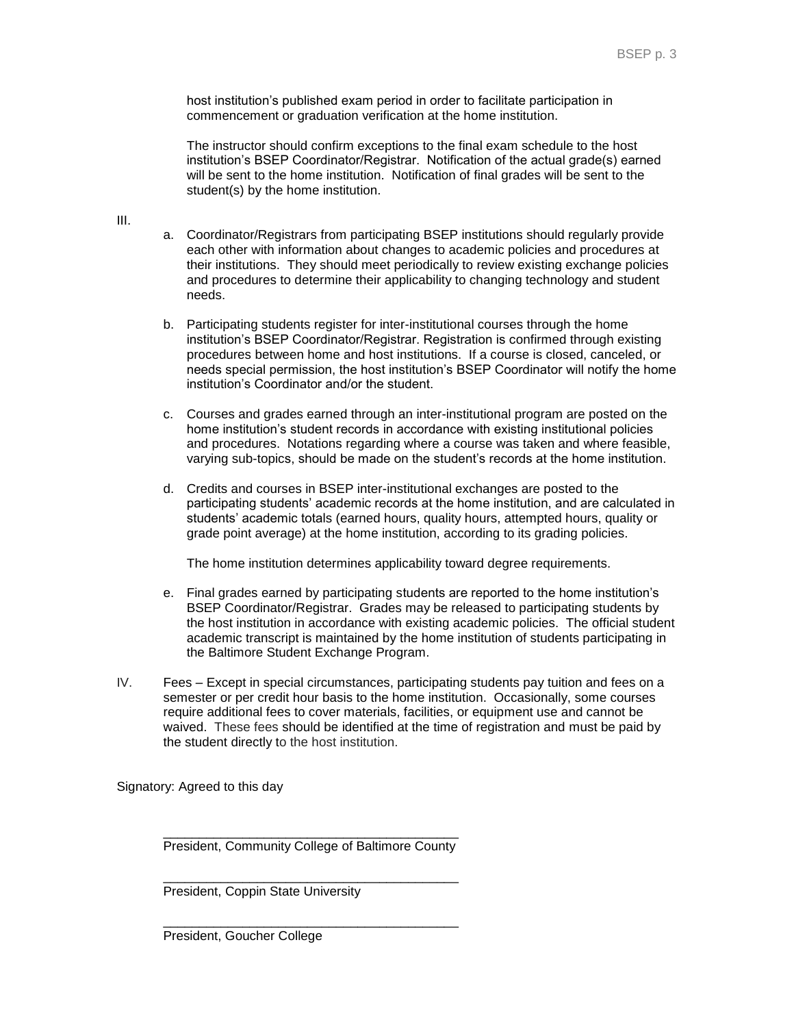host institution's published exam period in order to facilitate participation in commencement or graduation verification at the home institution.

The instructor should confirm exceptions to the final exam schedule to the host institution's BSEP Coordinator/Registrar. Notification of the actual grade(s) earned will be sent to the home institution. Notification of final grades will be sent to the student(s) by the home institution.

III.

- a. Coordinator/Registrars from participating BSEP institutions should regularly provide each other with information about changes to academic policies and procedures at their institutions. They should meet periodically to review existing exchange policies and procedures to determine their applicability to changing technology and student needs.
- b. Participating students register for inter-institutional courses through the home institution's BSEP Coordinator/Registrar. Registration is confirmed through existing procedures between home and host institutions. If a course is closed, canceled, or needs special permission, the host institution's BSEP Coordinator will notify the home institution's Coordinator and/or the student.
- c. Courses and grades earned through an inter-institutional program are posted on the home institution's student records in accordance with existing institutional policies and procedures. Notations regarding where a course was taken and where feasible, varying sub-topics, should be made on the student's records at the home institution.
- d. Credits and courses in BSEP inter-institutional exchanges are posted to the participating students' academic records at the home institution, and are calculated in students' academic totals (earned hours, quality hours, attempted hours, quality or grade point average) at the home institution, according to its grading policies.

The home institution determines applicability toward degree requirements.

- e. Final grades earned by participating students are reported to the home institution's BSEP Coordinator/Registrar. Grades may be released to participating students by the host institution in accordance with existing academic policies. The official student academic transcript is maintained by the home institution of students participating in the Baltimore Student Exchange Program.
- IV. Fees Except in special circumstances, participating students pay tuition and fees on a semester or per credit hour basis to the home institution. Occasionally, some courses require additional fees to cover materials, facilities, or equipment use and cannot be waived. These fees should be identified at the time of registration and must be paid by the student directly to the host institution.

Signatory: Agreed to this day

\_\_\_\_\_\_\_\_\_\_\_\_\_\_\_\_\_\_\_\_\_\_\_\_\_\_\_\_\_\_\_\_\_\_\_\_\_\_\_\_\_ President, Community College of Baltimore County

\_\_\_\_\_\_\_\_\_\_\_\_\_\_\_\_\_\_\_\_\_\_\_\_\_\_\_\_\_\_\_\_\_\_\_\_\_\_\_\_\_ President, Coppin State University

\_\_\_\_\_\_\_\_\_\_\_\_\_\_\_\_\_\_\_\_\_\_\_\_\_\_\_\_\_\_\_\_\_\_\_\_\_\_\_\_\_ President, Goucher College